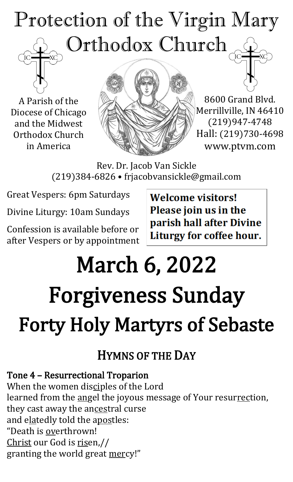## Protection of the Virgin Mary Orthodox Church

A Parish of the Diocese of Chicago and the Midwest Orthodox Church in America



8600 Grand Blvd. Merrillville, IN 46410 (219)947-4748 Hall: (219)730-4698 www.ptvm.com

Rev. Dr. Jacob Van Sickle (219)384-6826 • frjacobvansickle@gmail.com

Great Vespers: 6pm Saturdays

Divine Liturgy: 10am Sundays

Confession is available before or after Vespers or by appointment **Welcome visitors!** Please join us in the parish hall after Divine Liturgy for coffee hour.

# March 6, 2022 Forgiveness Sunday Forty Holy Martyrs of Sebaste

## HYMNS OF THE DAY

#### Tone 4 – Resurrectional Troparion

When the women disciples of the Lord learned from the angel the joyous message of Your resurrection, they cast away the ancestral curse and elatedly told the apostles: "Death is overthrown! Christ our God is risen,// granting the world great mercy!"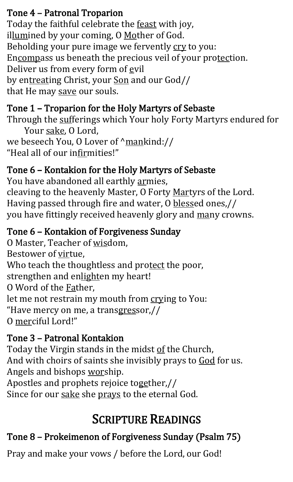#### Tone 4 – Patronal Troparion

Today the faithful celebrate the feast with joy, illumined by your coming, O Mother of God. Beholding your pure image we fervently cry to you: Encompass us beneath the precious veil of your protection. Deliver us from every form of evil by entreating Christ, your Son and our God// that He may save our souls.

#### Tone 1 – Troparion for the Holy Martyrs of Sebaste

Through the sufferings which Your holy Forty Martyrs endured for Your sake, O Lord,

we beseech You, O Lover of  $\gamma$ mankind:// "Heal all of our infirmities!"

#### Tone 6 – Kontakion for the Holy Martyrs of Sebaste

You have abandoned all earthly armies, cleaving to the heavenly Master, O Forty Martyrs of the Lord. Having passed through fire and water, O blessed ones,// you have fittingly received heavenly glory and many crowns.

#### Tone 6 – Kontakion of Forgiveness Sunday

O Master, Teacher of wisdom, Bestower of virtue, Who teach the thoughtless and protect the poor, strengthen and enlighten my heart! O Word of the Father, let me not restrain my mouth from crying to You: "Have mercy on me, a transgressor,// O merciful Lord!"

### Tone 3 – Patronal Kontakion

Today the Virgin stands in the midst of the Church, And with choirs of saints she invisibly prays to God for us. Angels and bishops worship. Apostles and prophets rejoice together,// Since for our sake she prays to the eternal God.

## SCRIPTURE READINGS

## Tone 8 – Prokeimenon of Forgiveness Sunday (Psalm 75)

Pray and make your vows / before the Lord, our God!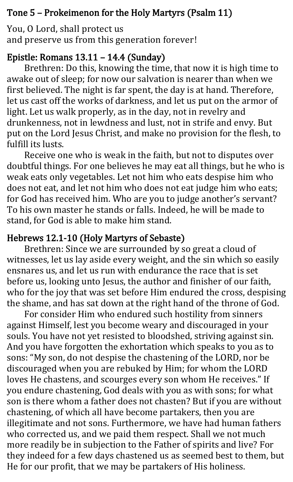#### Tone 5 – Prokeimenon for the Holy Martyrs (Psalm 11)

You, O Lord, shall protect us and preserve us from this generation forever!

#### Epistle: Romans 13.11 – 14.4 (Sunday)

Brethren: Do this, knowing the time, that now it is high time to awake out of sleep; for now our salvation is nearer than when we first believed. The night is far spent, the day is at hand. Therefore, let us cast off the works of darkness, and let us put on the armor of light. Let us walk properly, as in the day, not in revelry and drunkenness, not in lewdness and lust, not in strife and envy. But put on the Lord Jesus Christ, and make no provision for the flesh, to fulfill its lusts.

Receive one who is weak in the faith, but not to disputes over doubtful things. For one believes he may eat all things, but he who is weak eats only vegetables. Let not him who eats despise him who does not eat, and let not him who does not eat judge him who eats; for God has received him. Who are you to judge another's servant? To his own master he stands or falls. Indeed, he will be made to stand, for God is able to make him stand.

#### Hebrews 12.1-10 (Holy Martyrs of Sebaste)

Brethren: Since we are surrounded by so great a cloud of witnesses, let us lay aside every weight, and the sin which so easily ensnares us, and let us run with endurance the race that is set before us, looking unto Jesus, the author and finisher of our faith, who for the joy that was set before Him endured the cross, despising the shame, and has sat down at the right hand of the throne of God.

For consider Him who endured such hostility from sinners against Himself, lest you become weary and discouraged in your souls. You have not yet resisted to bloodshed, striving against sin. And you have forgotten the exhortation which speaks to you as to sons: "My son, do not despise the chastening of the LORD, nor be discouraged when you are rebuked by Him; for whom the LORD loves He chastens, and scourges every son whom He receives." If you endure chastening, God deals with you as with sons; for what son is there whom a father does not chasten? But if you are without chastening, of which all have become partakers, then you are illegitimate and not sons. Furthermore, we have had human fathers who corrected us, and we paid them respect. Shall we not much more readily be in subjection to the Father of spirits and live? For they indeed for a few days chastened us as seemed best to them, but He for our profit, that we may be partakers of His holiness.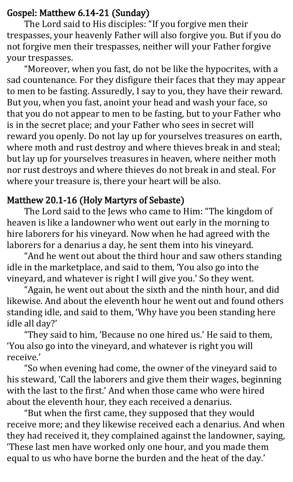#### Gospel: Matthew 6.14-21 (Sunday)

The Lord said to His disciples: "If you forgive men their trespasses, your heavenly Father will also forgive you. But if you do not forgive men their trespasses, neither will your Father forgive your trespasses.

"Moreover, when you fast, do not be like the hypocrites, with a sad countenance. For they disfigure their faces that they may appear to men to be fasting. Assuredly, I say to you, they have their reward. But you, when you fast, anoint your head and wash your face, so that you do not appear to men to be fasting, but to your Father who is in the secret place; and your Father who sees in secret will reward you openly. Do not lay up for yourselves treasures on earth, where moth and rust destroy and where thieves break in and steal; but lay up for yourselves treasures in heaven, where neither moth nor rust destroys and where thieves do not break in and steal. For where your treasure is, there your heart will be also.

#### Matthew 20.1-16 (Holy Martyrs of Sebaste)

The Lord said to the Jews who came to Him: "The kingdom of heaven is like a landowner who went out early in the morning to hire laborers for his vineyard. Now when he had agreed with the laborers for a denarius a day, he sent them into his vineyard.

"And he went out about the third hour and saw others standing idle in the marketplace, and said to them, 'You also go into the vineyard, and whatever is right I will give you.' So they went.

"Again, he went out about the sixth and the ninth hour, and did likewise. And about the eleventh hour he went out and found others standing idle, and said to them, 'Why have you been standing here idle all day?'

"They said to him, 'Because no one hired us.' He said to them, 'You also go into the vineyard, and whatever is right you will receive.'

"So when evening had come, the owner of the vineyard said to his steward, 'Call the laborers and give them their wages, beginning with the last to the first.' And when those came who were hired about the eleventh hour, they each received a denarius.

"But when the first came, they supposed that they would receive more; and they likewise received each a denarius. And when they had received it, they complained against the landowner, saying, 'These last men have worked only one hour, and you made them equal to us who have borne the burden and the heat of the day.'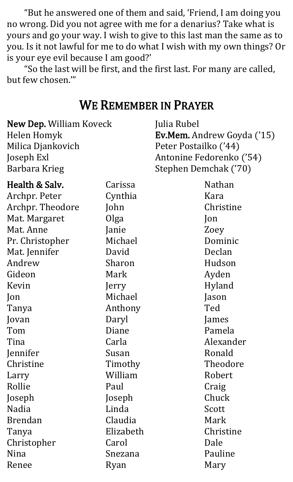"But he answered one of them and said, 'Friend, I am doing you no wrong. Did you not agree with me for a denarius? Take what is yours and go your way. I wish to give to this last man the same as to you. Is it not lawful for me to do what I wish with my own things? Or is your eye evil because I am good?'

"So the last will be first, and the first last. For many are called, but few chosen.'"

#### WE REMEMBER IN PRAYER

| <b>New Dep. William Koveck</b> |                       | Julia Rubel                       |  |
|--------------------------------|-----------------------|-----------------------------------|--|
|                                |                       | <b>Ev.Mem.</b> Andrew Goyda ('15) |  |
|                                | Peter Postailko ('44) |                                   |  |
|                                |                       | Antonine Fedorenko ('54)          |  |
|                                |                       | Stephen Demchak ('70)             |  |
| Carissa                        |                       | <b>Nathan</b>                     |  |
| Cynthia                        |                       | Kara                              |  |
| John                           |                       | Christine                         |  |
| Olga                           |                       | Jon                               |  |
| Janie                          |                       | Zoey                              |  |
| Michael                        |                       | Dominic                           |  |
| David                          |                       | Declan                            |  |
| Sharon                         |                       | Hudson                            |  |
| Mark                           |                       | Ayden                             |  |
| Jerry                          |                       | Hyland                            |  |
| Michael                        |                       | Jason                             |  |
| Anthony                        |                       | Ted                               |  |
| Daryl                          |                       | James                             |  |
| Diane                          |                       | Pamela                            |  |
| Carla                          |                       | Alexander                         |  |
| Susan                          |                       | Ronald                            |  |
| Timothy                        |                       | Theodore                          |  |
| William                        |                       | Robert                            |  |
| Paul                           |                       | Craig                             |  |
| Joseph                         |                       | Chuck                             |  |
| Linda                          |                       | Scott                             |  |
| Claudia                        |                       | Mark                              |  |
| Elizabeth                      |                       | Christine                         |  |
| Carol                          |                       | Dale                              |  |
| Snezana                        |                       | Pauline                           |  |
| Ryan                           |                       | Mary                              |  |
|                                |                       |                                   |  |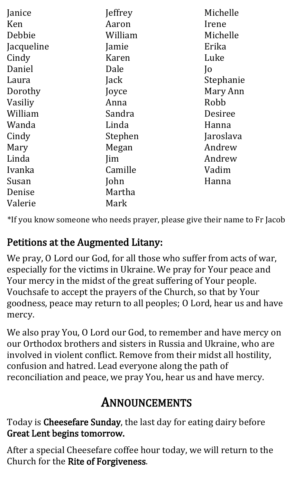| Janice     | Jeffrey    | Michelle       |
|------------|------------|----------------|
| Ken        | Aaron      | Irene          |
| Debbie     | William    | Michelle       |
| Jacqueline | Jamie      | Erika          |
| Cindy      | Karen      | Luke           |
| Daniel     | Dale       | $\overline{O}$ |
| Laura      | Jack       | Stephanie      |
| Dorothy    | Joyce      | Mary Ann       |
| Vasiliy    | Anna       | Robb           |
| William    | Sandra     | Desiree        |
| Wanda      | Linda      | Hanna          |
| Cindy      | Stephen    | Jaroslava      |
| Mary       | Megan      | Andrew         |
| Linda      | <i>lim</i> | Andrew         |
| Ivanka     | Camille    | Vadim          |
| Susan      | John       | Hanna          |
| Denise     | Martha     |                |
| Valerie    | Mark       |                |

\*If you know someone who needs prayer, please give their name to Fr Jacob

### Petitions at the Augmented Litany:

We pray, O Lord our God, for all those who suffer from acts of war, especially for the victims in Ukraine. We pray for Your peace and Your mercy in the midst of the great suffering of Your people. Vouchsafe to accept the prayers of the Church, so that by Your goodness, peace may return to all peoples; O Lord, hear us and have mercy.

We also pray You, O Lord our God, to remember and have mercy on our Orthodox brothers and sisters in Russia and Ukraine, who are involved in violent conflict. Remove from their midst all hostility, confusion and hatred. Lead everyone along the path of reconciliation and peace, we pray You, hear us and have mercy.

## ANNOUNCEMENTS

Today is Cheesefare Sunday, the last day for eating dairy before Great Lent begins tomorrow.

After a special Cheesefare coffee hour today, we will return to the Church for the Rite of Forgiveness.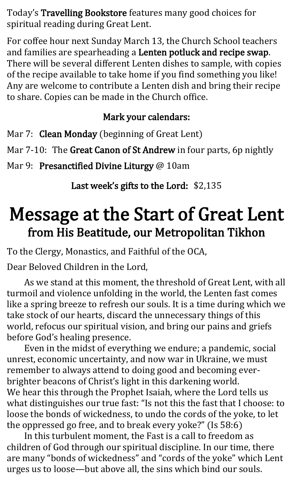Today's Travelling Bookstore features many good choices for spiritual reading during Great Lent.

For coffee hour next Sunday March 13, the Church School teachers and families are spearheading a Lenten potluck and recipe swap. There will be several different Lenten dishes to sample, with copies of the recipe available to take home if you find something you like! Any are welcome to contribute a Lenten dish and bring their recipe to share. Copies can be made in the Church office.

#### Mark your calendars:

Mar 7: Clean Monday (beginning of Great Lent)

Mar 7-10: The Great Canon of St Andrew in four parts, 6p nightly

Mar 9: Presanctified Divine Liturgy @ 10am

Last week's gifts to the Lord: \$2,135

## Message at the Start of Great Lent from His Beatitude, our Metropolitan Tikhon

To the Clergy, Monastics, and Faithful of the OCA,

Dear Beloved Children in the Lord,

As we stand at this moment, the threshold of Great Lent, with all turmoil and violence unfolding in the world, the Lenten fast comes like a spring breeze to refresh our souls. It is a time during which we take stock of our hearts, discard the unnecessary things of this world, refocus our spiritual vision, and bring our pains and griefs before God's healing presence.

Even in the midst of everything we endure; a pandemic, social unrest, economic uncertainty, and now war in Ukraine, we must remember to always attend to doing good and becoming everbrighter beacons of Christ's light in this darkening world. We hear this through the Prophet Isaiah, where the Lord tells us what distinguishes our true fast: "Is not this the fast that I choose: to loose the bonds of wickedness, to undo the cords of the yoke, to let the oppressed go free, and to break every yoke?" (Is 58:6)

In this turbulent moment, the Fast is a call to freedom as children of God through our spiritual discipline. In our time, there are many "bonds of wickedness" and "cords of the yoke" which Lent urges us to loose—but above all, the sins which bind our souls.